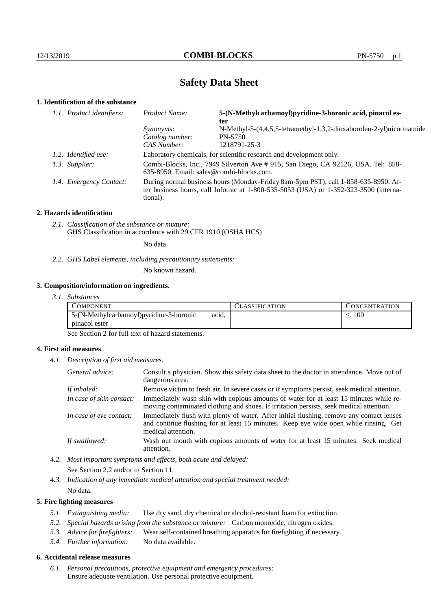# **Safety Data Sheet**

## **1. Identification of the substance**

| 1.1. Product identifiers: | 5-(N-Methylcarbamoyl)pyridine-3-boronic acid, pinacol es-<br>Product Name:<br>ter                                                                                                       |                                                                                                 |
|---------------------------|-----------------------------------------------------------------------------------------------------------------------------------------------------------------------------------------|-------------------------------------------------------------------------------------------------|
|                           | <i>Synonyms:</i><br>Catalog number:<br>CAS Number:                                                                                                                                      | N-Methyl-5-(4,4,5,5-tetramethyl-1,3,2-dioxaborolan-2-yl)nicotinamide<br>PN-5750<br>1218791-25-3 |
| 1.2. Identified use:      | Laboratory chemicals, for scientific research and development only.                                                                                                                     |                                                                                                 |
| 1.3. Supplier:            | Combi-Blocks, Inc., 7949 Silverton Ave # 915, San Diego, CA 92126, USA. Tel: 858-<br>635-8950. Email: sales@combi-blocks.com.                                                           |                                                                                                 |
| 1.4. Emergency Contact:   | During normal business hours (Monday-Friday 8am-5pm PST), call 1-858-635-8950. Af-<br>ter business hours, call Infotrac at 1-800-535-5053 (USA) or 1-352-323-3500 (interna-<br>tional). |                                                                                                 |

### **2. Hazards identification**

*2.1. Classification of the substance or mixture:* GHS Classification in accordance with 29 CFR 1910 (OSHA HCS)

No data.

*2.2. GHS Label elements, including precautionary statements:*

No known hazard.

## **3. Composition/information on ingredients.**

*3.1. Substances*

| COMPONENT                                |       | <b>ASSIFICATION</b> | <b>CONCENTRATION</b> |
|------------------------------------------|-------|---------------------|----------------------|
| 5-(N-Methylcarbamoyl) pyridine-3-boronic | acid, |                     | $100\,$              |
| pinacol ester                            |       |                     |                      |

See Section 2 for full text of hazard statements.

## **4. First aid measures**

*4.1. Description of first aid measures.*

| General advice:          | Consult a physician. Show this safety data sheet to the doctor in attendance. Move out of<br>dangerous area.                                                                                            |  |
|--------------------------|---------------------------------------------------------------------------------------------------------------------------------------------------------------------------------------------------------|--|
| If inhaled:              | Remove victim to fresh air. In severe cases or if symptoms persist, seek medical attention.                                                                                                             |  |
| In case of skin contact: | Immediately wash skin with copious amounts of water for at least 15 minutes while re-<br>moving contaminated clothing and shoes. If irritation persists, seek medical attention.                        |  |
| In case of eye contact:  | Immediately flush with plenty of water. After initial flushing, remove any contact lenses<br>and continue flushing for at least 15 minutes. Keep eye wide open while rinsing. Get<br>medical attention. |  |
| If swallowed:            | Wash out mouth with copious amounts of water for at least 15 minutes. Seek medical<br>attention.                                                                                                        |  |

*4.2. Most important symptoms and effects, both acute and delayed:* See Section 2.2 and/or in Section 11.

*4.3. Indication of any immediate medical attention and special treatment needed:* No data.

## **5. Fire fighting measures**

- *5.1. Extinguishing media:* Use dry sand, dry chemical or alcohol-resistant foam for extinction.
- *5.2. Special hazards arising from the substance or mixture:* Carbon monoxide, nitrogen oxides.
- *5.3. Advice for firefighters:* Wear self-contained breathing apparatus for firefighting if necessary.
- *5.4. Further information:* No data available.

## **6. Accidental release measures**

*6.1. Personal precautions, protective equipment and emergency procedures:* Ensure adequate ventilation. Use personal protective equipment.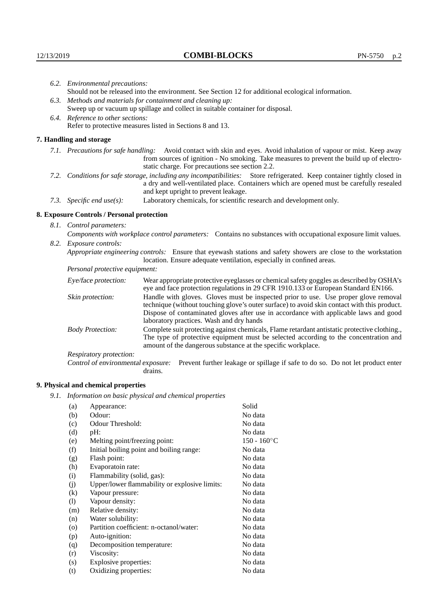|                                                                                                                                                                                                                                                            | 6.2. Environmental precautions:                                                                    |                                                                                                                                                                                                                                                                                                                        |  |  |  |
|------------------------------------------------------------------------------------------------------------------------------------------------------------------------------------------------------------------------------------------------------------|----------------------------------------------------------------------------------------------------|------------------------------------------------------------------------------------------------------------------------------------------------------------------------------------------------------------------------------------------------------------------------------------------------------------------------|--|--|--|
|                                                                                                                                                                                                                                                            | Should not be released into the environment. See Section 12 for additional ecological information. |                                                                                                                                                                                                                                                                                                                        |  |  |  |
|                                                                                                                                                                                                                                                            | 6.3. Methods and materials for containment and cleaning up:                                        |                                                                                                                                                                                                                                                                                                                        |  |  |  |
|                                                                                                                                                                                                                                                            | Sweep up or vacuum up spillage and collect in suitable container for disposal.                     |                                                                                                                                                                                                                                                                                                                        |  |  |  |
|                                                                                                                                                                                                                                                            | 6.4. Reference to other sections:                                                                  |                                                                                                                                                                                                                                                                                                                        |  |  |  |
|                                                                                                                                                                                                                                                            |                                                                                                    | Refer to protective measures listed in Sections 8 and 13.                                                                                                                                                                                                                                                              |  |  |  |
|                                                                                                                                                                                                                                                            | 7. Handling and storage                                                                            |                                                                                                                                                                                                                                                                                                                        |  |  |  |
|                                                                                                                                                                                                                                                            |                                                                                                    | 7.1. Precautions for safe handling: Avoid contact with skin and eyes. Avoid inhalation of vapour or mist. Keep away<br>from sources of ignition - No smoking. Take measures to prevent the build up of electro-<br>static charge. For precautions see section 2.2.                                                     |  |  |  |
| 7.2. Conditions for safe storage, including any incompatibilities: Store refrigerated. Keep container tightly closed in<br>a dry and well-ventilated place. Containers which are opened must be carefully resealed<br>and kept upright to prevent leakage. |                                                                                                    |                                                                                                                                                                                                                                                                                                                        |  |  |  |
|                                                                                                                                                                                                                                                            | 7.3. Specific end use(s):                                                                          | Laboratory chemicals, for scientific research and development only.                                                                                                                                                                                                                                                    |  |  |  |
|                                                                                                                                                                                                                                                            | 8. Exposure Controls / Personal protection                                                         |                                                                                                                                                                                                                                                                                                                        |  |  |  |
|                                                                                                                                                                                                                                                            | 8.1. Control parameters:                                                                           |                                                                                                                                                                                                                                                                                                                        |  |  |  |
|                                                                                                                                                                                                                                                            |                                                                                                    | Components with workplace control parameters: Contains no substances with occupational exposure limit values.                                                                                                                                                                                                          |  |  |  |
|                                                                                                                                                                                                                                                            | 8.2. Exposure controls:                                                                            |                                                                                                                                                                                                                                                                                                                        |  |  |  |
|                                                                                                                                                                                                                                                            |                                                                                                    | Appropriate engineering controls: Ensure that eyewash stations and safety showers are close to the workstation<br>location. Ensure adequate ventilation, especially in confined areas.                                                                                                                                 |  |  |  |
|                                                                                                                                                                                                                                                            | Personal protective equipment:                                                                     |                                                                                                                                                                                                                                                                                                                        |  |  |  |
|                                                                                                                                                                                                                                                            | Eye/face protection:                                                                               | Wear appropriate protective eyeglasses or chemical safety goggles as described by OSHA's<br>eye and face protection regulations in 29 CFR 1910.133 or European Standard EN166.                                                                                                                                         |  |  |  |
|                                                                                                                                                                                                                                                            | Skin protection:                                                                                   | Handle with gloves. Gloves must be inspected prior to use. Use proper glove removal<br>technique (without touching glove's outer surface) to avoid skin contact with this product.<br>Dispose of contaminated gloves after use in accordance with applicable laws and good<br>laboratory practices. Wash and dry hands |  |  |  |

Body Protection: Complete suit protecting against chemicals, Flame retardant antistatic protective clothing., The type of protective equipment must be selected according to the concentration and amount of the dangerous substance at the specific workplace.

Respiratory protection:

Control of environmental exposure: Prevent further leakage or spillage if safe to do so. Do not let product enter drains.

# **9. Physical and chemical properties**

*9.1. Information on basic physical and chemical properties*

| (a)      | Appearance:                                   | Solid          |
|----------|-----------------------------------------------|----------------|
| (b)      | Odour:                                        | No data        |
| (c)      | Odour Threshold:                              | No data        |
| (d)      | $pH$ :                                        | No data        |
| (e)      | Melting point/freezing point:                 | $150 - 160$ °C |
| (f)      | Initial boiling point and boiling range:      | No data        |
| (g)      | Flash point:                                  | No data        |
| (h)      | Evaporatoin rate:                             | No data        |
| (i)      | Flammability (solid, gas):                    | No data        |
| (j)      | Upper/lower flammability or explosive limits: | No data        |
| $\rm(k)$ | Vapour pressure:                              | No data        |
| (1)      | Vapour density:                               | No data        |
| (m)      | Relative density:                             | No data        |
| (n)      | Water solubility:                             | No data        |
| $\circ$  | Partition coefficient: n-octanol/water:       | No data        |
| (p)      | Auto-ignition:                                | No data        |
| (q)      | Decomposition temperature:                    | No data        |
| (r)      | Viscosity:                                    | No data        |
| (s)      | Explosive properties:                         | No data        |
| (t)      | Oxidizing properties:                         | No data        |
|          |                                               |                |